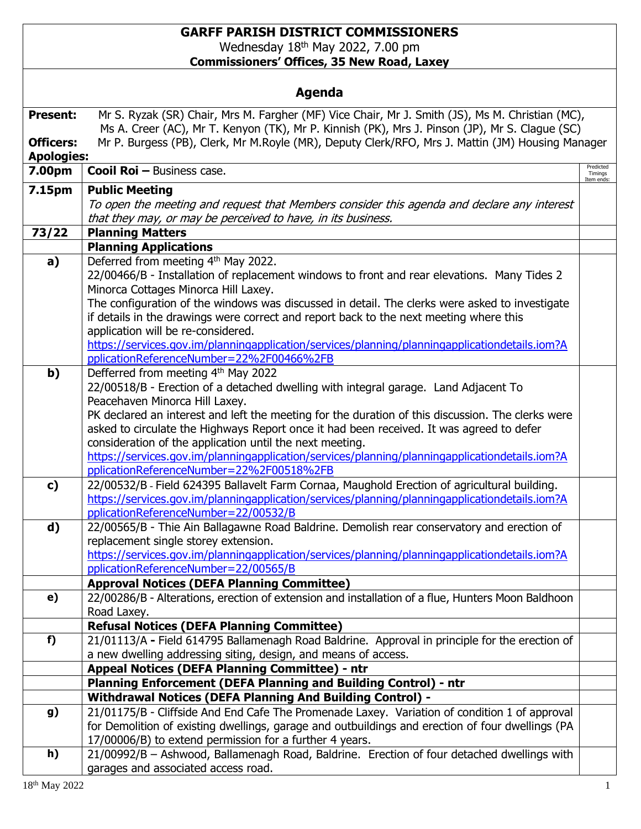## **GARFF PARISH DISTRICT COMMISSIONERS** Wednesday 18<sup>th</sup> May 2022, 7.00 pm **Commissioners' Offices, 35 New Road, Laxey**

| <b>Agenda</b>     |                                                                                                                                                    |                       |  |
|-------------------|----------------------------------------------------------------------------------------------------------------------------------------------------|-----------------------|--|
| <b>Present:</b>   | Mr S. Ryzak (SR) Chair, Mrs M. Fargher (MF) Vice Chair, Mr J. Smith (JS), Ms M. Christian (MC),                                                    |                       |  |
|                   | Ms A. Creer (AC), Mr T. Kenyon (TK), Mr P. Kinnish (PK), Mrs J. Pinson (JP), Mr S. Clague (SC)                                                     |                       |  |
| <b>Officers:</b>  | Mr P. Burgess (PB), Clerk, Mr M.Royle (MR), Deputy Clerk/RFO, Mrs J. Mattin (JM) Housing Manager                                                   |                       |  |
| <b>Apologies:</b> | <b>Cooil Roi - Business case.</b>                                                                                                                  | Predicted             |  |
| 7.00pm            |                                                                                                                                                    | Timings<br>Item ends: |  |
| 7.15pm            | <b>Public Meeting</b>                                                                                                                              |                       |  |
|                   | To open the meeting and request that Members consider this agenda and declare any interest                                                         |                       |  |
| 73/22             | that they may, or may be perceived to have, in its business.                                                                                       |                       |  |
|                   | <b>Planning Matters</b><br><b>Planning Applications</b>                                                                                            |                       |  |
|                   | Deferred from meeting 4th May 2022.                                                                                                                |                       |  |
| a)                | 22/00466/B - Installation of replacement windows to front and rear elevations. Many Tides 2                                                        |                       |  |
|                   | Minorca Cottages Minorca Hill Laxey.                                                                                                               |                       |  |
|                   | The configuration of the windows was discussed in detail. The clerks were asked to investigate                                                     |                       |  |
|                   | if details in the drawings were correct and report back to the next meeting where this                                                             |                       |  |
|                   | application will be re-considered.                                                                                                                 |                       |  |
|                   | https://services.gov.im/planningapplication/services/planning/planningapplicationdetails.iom?A                                                     |                       |  |
|                   | pplicationReferenceNumber=22%2F00466%2FB                                                                                                           |                       |  |
| b)                | Defferred from meeting 4th May 2022                                                                                                                |                       |  |
|                   | 22/00518/B - Erection of a detached dwelling with integral garage. Land Adjacent To                                                                |                       |  |
|                   | Peacehaven Minorca Hill Laxey.                                                                                                                     |                       |  |
|                   | PK declared an interest and left the meeting for the duration of this discussion. The clerks were                                                  |                       |  |
|                   | asked to circulate the Highways Report once it had been received. It was agreed to defer                                                           |                       |  |
|                   | consideration of the application until the next meeting.                                                                                           |                       |  |
|                   | https://services.gov.im/planningapplication/services/planning/planningapplicationdetails.iom?A<br>pplicationReferenceNumber=22%2F00518%2FB         |                       |  |
| c)                | 22/00532/B - Field 624395 Ballavelt Farm Cornaa, Maughold Erection of agricultural building.                                                       |                       |  |
|                   | https://services.gov.im/planningapplication/services/planning/planningapplicationdetails.iom?A                                                     |                       |  |
|                   | pplicationReferenceNumber=22/00532/B                                                                                                               |                       |  |
| d)                | 22/00565/B - Thie Ain Ballagawne Road Baldrine. Demolish rear conservatory and erection of                                                         |                       |  |
|                   | replacement single storey extension.                                                                                                               |                       |  |
|                   | https://services.gov.im/planningapplication/services/planning/planningapplicationdetails.iom?A                                                     |                       |  |
|                   | pplicationReferenceNumber=22/00565/B                                                                                                               |                       |  |
|                   | <b>Approval Notices (DEFA Planning Committee)</b>                                                                                                  |                       |  |
| e)                | 22/00286/B - Alterations, erection of extension and installation of a flue, Hunters Moon Baldhoon                                                  |                       |  |
|                   | Road Laxey.                                                                                                                                        |                       |  |
| f)                | <b>Refusal Notices (DEFA Planning Committee)</b><br>21/01113/A - Field 614795 Ballamenagh Road Baldrine. Approval in principle for the erection of |                       |  |
|                   | a new dwelling addressing siting, design, and means of access.                                                                                     |                       |  |
|                   | <b>Appeal Notices (DEFA Planning Committee) - ntr</b>                                                                                              |                       |  |
|                   | Planning Enforcement (DEFA Planning and Building Control) - ntr                                                                                    |                       |  |
|                   | <b>Withdrawal Notices (DEFA Planning And Building Control) -</b>                                                                                   |                       |  |
| g)                | 21/01175/B - Cliffside And End Cafe The Promenade Laxey. Variation of condition 1 of approval                                                      |                       |  |
|                   | for Demolition of existing dwellings, garage and outbuildings and erection of four dwellings (PA                                                   |                       |  |
|                   | 17/00006/B) to extend permission for a further 4 years.                                                                                            |                       |  |
| h)                | 21/00992/B - Ashwood, Ballamenagh Road, Baldrine. Erection of four detached dwellings with                                                         |                       |  |
|                   | garages and associated access road.                                                                                                                |                       |  |